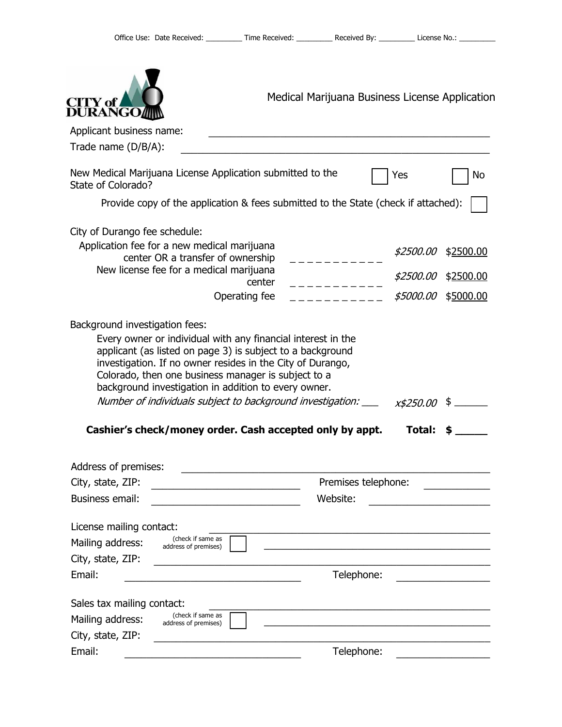| CITY of<br><b>DURANGO</b>                                                                                                                                                                                                                                                                                                                                                                                                                          | Medical Marijuana Business License Application |                               |                        |
|----------------------------------------------------------------------------------------------------------------------------------------------------------------------------------------------------------------------------------------------------------------------------------------------------------------------------------------------------------------------------------------------------------------------------------------------------|------------------------------------------------|-------------------------------|------------------------|
| Applicant business name:                                                                                                                                                                                                                                                                                                                                                                                                                           |                                                |                               |                        |
| Trade name $(D/B/A)$ :                                                                                                                                                                                                                                                                                                                                                                                                                             |                                                |                               |                        |
| New Medical Marijuana License Application submitted to the<br>State of Colorado?                                                                                                                                                                                                                                                                                                                                                                   |                                                | Yes                           | No                     |
| Provide copy of the application & fees submitted to the State (check if attached):                                                                                                                                                                                                                                                                                                                                                                 |                                                |                               |                        |
| City of Durango fee schedule:<br>Application fee for a new medical marijuana<br>center OR a transfer of ownership<br>New license fee for a medical marijuana                                                                                                                                                                                                                                                                                       | center                                         | <i>\$2500.00</i><br>\$2500.00 | \$2500.00<br>\$2500.00 |
|                                                                                                                                                                                                                                                                                                                                                                                                                                                    | Operating fee                                  | \$5000.00                     | \$5000.00              |
| Every owner or individual with any financial interest in the<br>applicant (as listed on page 3) is subject to a background<br>investigation. If no owner resides in the City of Durango,<br>Colorado, then one business manager is subject to a<br>background investigation in addition to every owner.<br>Number of individuals subject to background investigation: ___ x\$250.00 \$<br>Cashier's check/money order. Cash accepted only by appt. |                                                | Total:                        |                        |
| Address of premises:                                                                                                                                                                                                                                                                                                                                                                                                                               |                                                |                               |                        |
| City, state, ZIP:<br><b>Business email:</b>                                                                                                                                                                                                                                                                                                                                                                                                        | Website:                                       | Premises telephone:           |                        |
| License mailing contact:<br>(check if same as<br>Mailing address:<br>address of premises)<br>City, state, ZIP:                                                                                                                                                                                                                                                                                                                                     |                                                |                               |                        |
| Email:                                                                                                                                                                                                                                                                                                                                                                                                                                             |                                                | Telephone:                    |                        |
| Sales tax mailing contact:<br>(check if same as<br>Mailing address:<br>address of premises)<br>City, state, ZIP:                                                                                                                                                                                                                                                                                                                                   |                                                |                               |                        |
| Email:                                                                                                                                                                                                                                                                                                                                                                                                                                             |                                                | Telephone:                    |                        |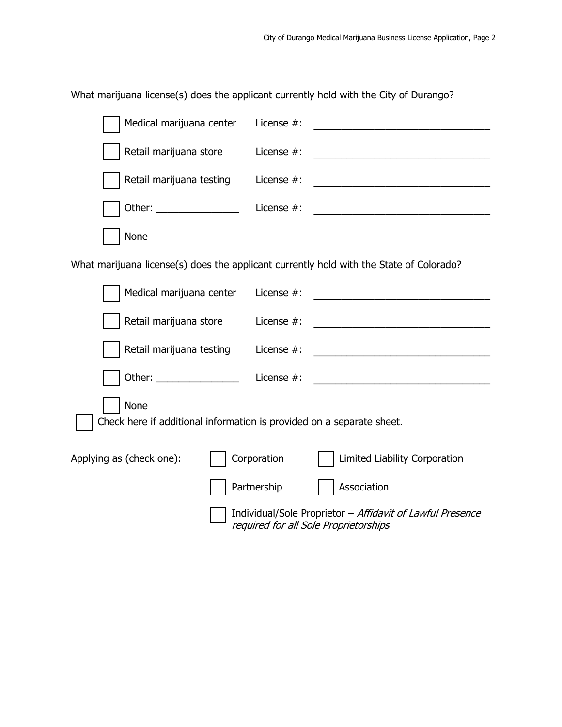What marijuana license(s) does the applicant currently hold with the City of Durango?

| Medical marijuana center                                                      | License $#$ :                            |                                                                                                                                                                                                                                      |  |  |  |
|-------------------------------------------------------------------------------|------------------------------------------|--------------------------------------------------------------------------------------------------------------------------------------------------------------------------------------------------------------------------------------|--|--|--|
| Retail marijuana store                                                        | License $#$ :                            |                                                                                                                                                                                                                                      |  |  |  |
| Retail marijuana testing                                                      | License $#$ :                            |                                                                                                                                                                                                                                      |  |  |  |
|                                                                               | License $#$ :                            | <u> 1989 - Johann Barn, margaret eta idazlea (h. 1989).</u>                                                                                                                                                                          |  |  |  |
| None                                                                          |                                          |                                                                                                                                                                                                                                      |  |  |  |
|                                                                               |                                          | What marijuana license(s) does the applicant currently hold with the State of Colorado?                                                                                                                                              |  |  |  |
| Medical marijuana center                                                      | License #:                               |                                                                                                                                                                                                                                      |  |  |  |
| Retail marijuana store                                                        | License $#$ :                            |                                                                                                                                                                                                                                      |  |  |  |
| Retail marijuana testing                                                      | License #:                               |                                                                                                                                                                                                                                      |  |  |  |
|                                                                               | Other: ______________________ License #: | <u> Andreas Andreas Andreas Andreas Andreas Andreas Andreas Andreas Andreas Andreas Andreas Andreas Andreas Andreas Andreas Andreas Andreas Andreas Andreas Andreas Andreas Andreas Andreas Andreas Andreas Andreas Andreas Andr</u> |  |  |  |
| None<br>Check here if additional information is provided on a separate sheet. |                                          |                                                                                                                                                                                                                                      |  |  |  |
| Corporation<br>Applying as (check one):<br>Limited Liability Corporation      |                                          |                                                                                                                                                                                                                                      |  |  |  |
|                                                                               | Partnership                              | Association                                                                                                                                                                                                                          |  |  |  |
|                                                                               |                                          | Individual/Sole Proprietor - Affidavit of Lawful Presence<br>required for all Sole Proprietorships                                                                                                                                   |  |  |  |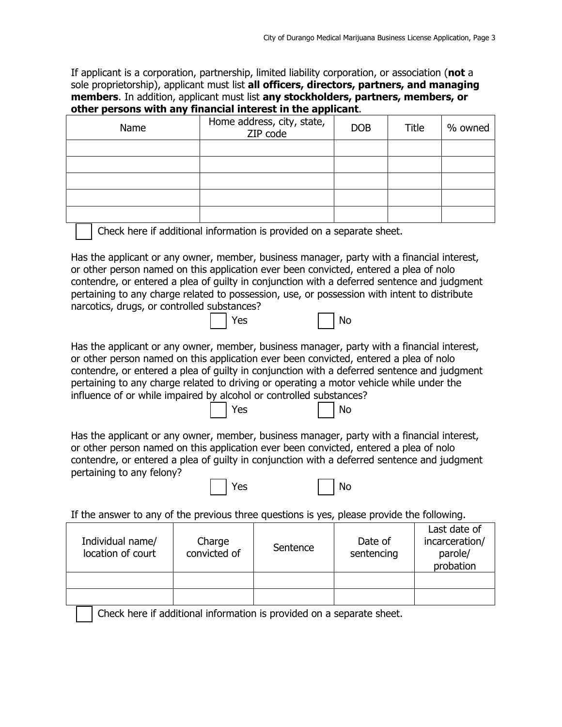If applicant is a corporation, partnership, limited liability corporation, or association (**not** a sole proprietorship), applicant must list **all officers, directors, partners, and managing members**. In addition, applicant must list **any stockholders, partners, members, or other persons with any financial interest in the applicant**.

| Name | Home address, city, state,<br>ZIP code | <b>DOB</b> | Title | % owned |
|------|----------------------------------------|------------|-------|---------|
|      |                                        |            |       |         |
|      |                                        |            |       |         |
|      |                                        |            |       |         |
|      |                                        |            |       |         |
|      |                                        |            |       |         |

Check here if additional information is provided on a separate sheet.

Has the applicant or any owner, member, business manager, party with a financial interest, or other person named on this application ever been convicted, entered a plea of nolo contendre, or entered a plea of guilty in conjunction with a deferred sentence and judgment pertaining to any charge related to possession, use, or possession with intent to distribute narcotics, drugs, or controlled substances?

| $\Box$ No<br>$\vert$   Yes |
|----------------------------|
|----------------------------|

Has the applicant or any owner, member, business manager, party with a financial interest, or other person named on this application ever been convicted, entered a plea of nolo contendre, or entered a plea of guilty in conjunction with a deferred sentence and judgment pertaining to any charge related to driving or operating a motor vehicle while under the influence of or while impaired by alcohol or controlled substances?

| $\Box$ No<br>$\vert$ Yes |
|--------------------------|
|--------------------------|

Has the applicant or any owner, member, business manager, party with a financial interest, or other person named on this application ever been convicted, entered a plea of nolo contendre, or entered a plea of guilty in conjunction with a deferred sentence and judgment pertaining to any felony?

**No. 1999 No. 2016 No. 2016 No. 2016** No. 2016

If the answer to any of the previous three questions is yes, please provide the following.

| Individual name/<br>location of court | Charge<br>convicted of | Sentence | Date of<br>sentencing | Last date of<br>incarceration/<br>parole/<br>probation |
|---------------------------------------|------------------------|----------|-----------------------|--------------------------------------------------------|
|                                       |                        |          |                       |                                                        |
|                                       |                        |          |                       |                                                        |

Check here if additional information is provided on a separate sheet.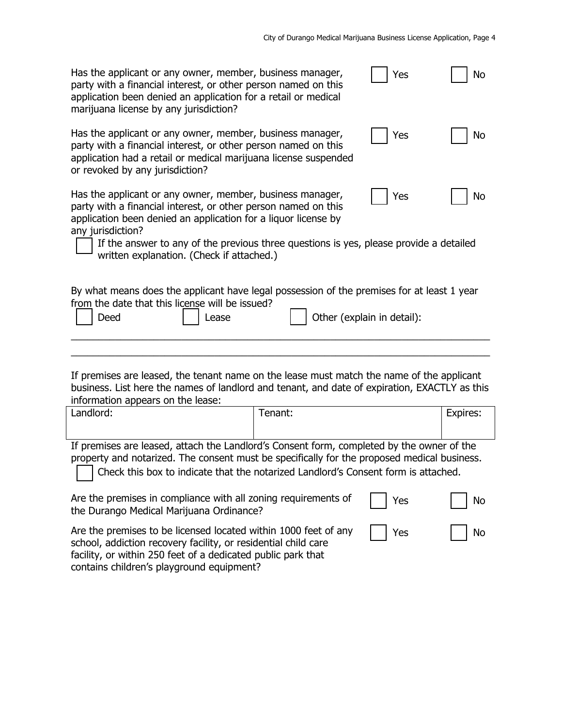| Has the applicant or any owner, member, business manager,<br>party with a financial interest, or other person named on this<br>application been denied an application for a retail or medical<br>marijuana license by any jurisdiction?                                        |         | Yes | No       |  |
|--------------------------------------------------------------------------------------------------------------------------------------------------------------------------------------------------------------------------------------------------------------------------------|---------|-----|----------|--|
| Has the applicant or any owner, member, business manager,<br>party with a financial interest, or other person named on this<br>application had a retail or medical marijuana license suspended<br>or revoked by any jurisdiction?                                              |         | Yes | No       |  |
| Has the applicant or any owner, member, business manager,<br>party with a financial interest, or other person named on this<br>application been denied an application for a liquor license by<br>any jurisdiction?                                                             |         | Yes | No       |  |
| If the answer to any of the previous three questions is yes, please provide a detailed<br>written explanation. (Check if attached.)                                                                                                                                            |         |     |          |  |
| By what means does the applicant have legal possession of the premises for at least 1 year<br>from the date that this license will be issued?<br>Other (explain in detail):<br>Deed<br>Lease                                                                                   |         |     |          |  |
|                                                                                                                                                                                                                                                                                |         |     |          |  |
| If premises are leased, the tenant name on the lease must match the name of the applicant<br>business. List here the names of landlord and tenant, and date of expiration, EXACTLY as this<br>information appears on the lease:                                                |         |     |          |  |
| Landlord:                                                                                                                                                                                                                                                                      | Tenant: |     | Expires: |  |
| If premises are leased, attach the Landlord's Consent form, completed by the owner of the<br>property and notarized. The consent must be specifically for the proposed medical business.<br>Check this box to indicate that the notarized Landlord's Consent form is attached. |         |     |          |  |
| Are the premises in compliance with all zoning requirements of<br>the Durango Medical Marijuana Ordinance?                                                                                                                                                                     |         | Yes | No       |  |
| Are the premises to be licensed located within 1000 feet of any<br>Yes<br>No<br>school, addiction recovery facility, or residential child care<br>facility, or within 250 feet of a dedicated public park that<br>contains children's playground equipment?                    |         |     |          |  |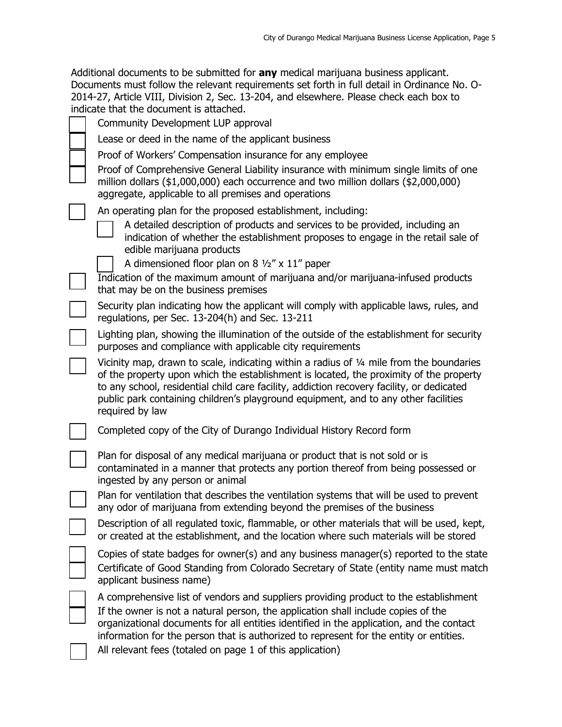| Additional documents to be submitted for any medical marijuana business applicant.           |
|----------------------------------------------------------------------------------------------|
| Documents must follow the relevant requirements set forth in full detail in Ordinance No. O- |
| 2014-27, Article VIII, Division 2, Sec. 13-204, and elsewhere. Please check each box to      |
| indicate that the document is attached.                                                      |

|  | Community Development LUP approval                                                                                                                                                                                                                                                                                                                                                                                           |
|--|------------------------------------------------------------------------------------------------------------------------------------------------------------------------------------------------------------------------------------------------------------------------------------------------------------------------------------------------------------------------------------------------------------------------------|
|  | Lease or deed in the name of the applicant business                                                                                                                                                                                                                                                                                                                                                                          |
|  | Proof of Workers' Compensation insurance for any employee<br>Proof of Comprehensive General Liability insurance with minimum single limits of one<br>million dollars (\$1,000,000) each occurrence and two million dollars (\$2,000,000)<br>aggregate, applicable to all premises and operations                                                                                                                             |
|  | An operating plan for the proposed establishment, including:<br>A detailed description of products and services to be provided, including an<br>indication of whether the establishment proposes to engage in the retail sale of<br>edible marijuana products                                                                                                                                                                |
|  | A dimensioned floor plan on 8 $\frac{1}{2}$ x 11" paper                                                                                                                                                                                                                                                                                                                                                                      |
|  | Indication of the maximum amount of marijuana and/or marijuana-infused products<br>that may be on the business premises                                                                                                                                                                                                                                                                                                      |
|  | Security plan indicating how the applicant will comply with applicable laws, rules, and<br>regulations, per Sec. 13-204(h) and Sec. 13-211                                                                                                                                                                                                                                                                                   |
|  | Lighting plan, showing the illumination of the outside of the establishment for security<br>purposes and compliance with applicable city requirements                                                                                                                                                                                                                                                                        |
|  | Vicinity map, drawn to scale, indicating within a radius of 1/4 mile from the boundaries<br>of the property upon which the establishment is located, the proximity of the property<br>to any school, residential child care facility, addiction recovery facility, or dedicated<br>public park containing children's playground equipment, and to any other facilities<br>required by law                                    |
|  | Completed copy of the City of Durango Individual History Record form                                                                                                                                                                                                                                                                                                                                                         |
|  | Plan for disposal of any medical marijuana or product that is not sold or is<br>contaminated in a manner that protects any portion thereof from being possessed or<br>ingested by any person or animal                                                                                                                                                                                                                       |
|  | Plan for ventilation that describes the ventilation systems that will be used to prevent<br>any odor of marijuana from extending beyond the premises of the business                                                                                                                                                                                                                                                         |
|  | Description of all regulated toxic, flammable, or other materials that will be used, kept,<br>or created at the establishment, and the location where such materials will be stored                                                                                                                                                                                                                                          |
|  | Copies of state badges for owner(s) and any business manager(s) reported to the state<br>Certificate of Good Standing from Colorado Secretary of State (entity name must match<br>applicant business name)                                                                                                                                                                                                                   |
|  | A comprehensive list of vendors and suppliers providing product to the establishment<br>If the owner is not a natural person, the application shall include copies of the<br>organizational documents for all entities identified in the application, and the contact<br>information for the person that is authorized to represent for the entity or entities.<br>All relevant fees (totaled on page 1 of this application) |
|  |                                                                                                                                                                                                                                                                                                                                                                                                                              |